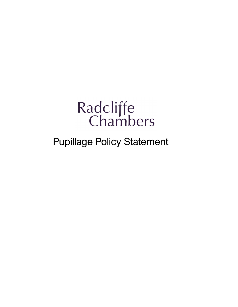# Radcliffe<br>Chambers

# Pupillage Policy Statement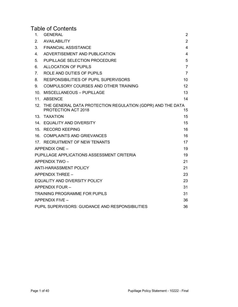# Table of Contents

| 1.                                                     | <b>GENERAL</b>                                                                    | 2              |
|--------------------------------------------------------|-----------------------------------------------------------------------------------|----------------|
| 2.                                                     | <b>AVAILABILITY</b>                                                               | $\overline{2}$ |
| 3.                                                     | <b>FINANCIAL ASSISTANCE</b>                                                       | 4              |
| 4.                                                     | ADVERTISEMENT AND PUBLICATION                                                     | 4              |
| 5.                                                     | PUPILLAGE SELECTION PROCEDURE                                                     | 5              |
| 6.                                                     | ALLOCATION OF PUPILS                                                              | $\overline{7}$ |
| 7.                                                     | ROLE AND DUTIES OF PUPILS                                                         | $\overline{7}$ |
| 8.                                                     | <b>RESPONSIBILITIES OF PUPIL SUPERVISORS</b>                                      | 10             |
| 9.                                                     | COMPULSORY COURSES AND OTHER TRAINING                                             | 12             |
| 10 <sub>1</sub>                                        | <b>MISCELLANEOUS - PUPILLAGE</b>                                                  | 13             |
| 11 <sub>1</sub>                                        | <b>ABSENCE</b>                                                                    | 14             |
| 12.                                                    | THE GENERAL DATA PROTECTION REGULATION (GDPR) AND THE DATA<br>PROTECTION ACT 2018 | 15             |
|                                                        | 13. TAXATION                                                                      | 15             |
|                                                        | 14. EQUALITY AND DIVERSITY                                                        | 15             |
|                                                        | 15. RECORD KEEPING                                                                | 16             |
|                                                        | 16. COMPLAINTS AND GRIEVANCES                                                     | 16             |
|                                                        | 17. RECRUITMENT OF NEW TENANTS                                                    | 17             |
|                                                        | APPENDIX ONE -                                                                    | 19             |
|                                                        | PUPILLAGE APPLICATIONS ASSESSMENT CRITERIA                                        | 19             |
|                                                        | <b>APPENDIX TWO-</b>                                                              | 21             |
|                                                        | <b>ANTI-HARASSMENT POLICY</b>                                                     | 21             |
|                                                        | APPENDIX THREE -                                                                  | 23             |
|                                                        | <b>EQUALITY AND DIVERSITY POLICY</b>                                              | 23             |
|                                                        | <b>APPENDIX FOUR -</b>                                                            | 31             |
|                                                        | <b>TRAINING PROGRAMME FOR PUPILS</b>                                              | 31             |
|                                                        | <b>APPENDIX FIVE -</b>                                                            | 36             |
| PUPIL SUPERVISORS: GUIDANCE AND RESPONSIBILITIES<br>36 |                                                                                   |                |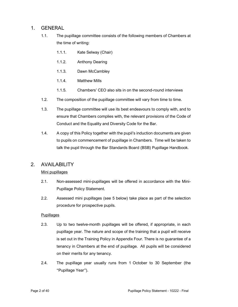# 1. GENERAL

- 1.1. The pupillage committee consists of the following members of Chambers at the time of writing:
	- 1.1.1. Kate Selway (Chair)
	- 1.1.2. Anthony Dearing
	- 1.1.3. Dawn McCambley
	- 1.1.4. Matthew Mills
	- 1.1.5. Chambers' CEO also sits in on the second-round interviews
- 1.2. The composition of the pupillage committee will vary from time to time.
- 1.3. The pupillage committee will use its best endeavours to comply with, and to ensure that Chambers complies with, the relevant provisions of the Code of Conduct and the Equality and Diversity Code for the Bar.
- 1.4. A copy of this Policy together with the pupil's induction documents are given to pupils on commencement of pupillage in Chambers. Time will be taken to talk the pupil through the Bar Standards Board (BSB) Pupillage Handbook.

# 2. AVAILABILITY

#### Mini pupillages

- 2.1. Non-assessed mini-pupillages will be offered in accordance with the Mini-Pupillage Policy Statement.
- 2.2. Assessed mini pupillages (see 5 below) take place as part of the selection procedure for prospective pupils.

#### **Pupillages**

- 2.3. Up to two twelve-month pupillages will be offered, if appropriate, in each pupillage year. The nature and scope of the training that a pupil will receive is set out in the Training Policy in Appendix Four. There is no guarantee of a tenancy in Chambers at the end of pupillage. All pupils will be considered on their merits for any tenancy.
- 2.4. The pupillage year usually runs from 1 October to 30 September (the "Pupillage Year").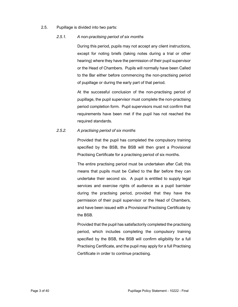2.5. Pupillage is divided into two parts:

#### 2.5.1. A non-practising period of six months

During this period, pupils may not accept any client instructions, except for noting briefs (taking notes during a trial or other hearing) where they have the permission of their pupil supervisor or the Head of Chambers. Pupils will normally have been Called to the Bar either before commencing the non-practising period of pupillage or during the early part of that period.

At the successful conclusion of the non-practising period of pupillage, the pupil supervisor must complete the non-practising period completion form. Pupil supervisors must not confirm that requirements have been met if the pupil has not reached the required standards.

#### 2.5.2. A practising period of six months

Provided that the pupil has completed the compulsory training specified by the BSB, the BSB will then grant a Provisional Practising Certificate for a practising period of six months.

The entire practising period must be undertaken after Call; this means that pupils must be Called to the Bar before they can undertake their second six. A pupil is entitled to supply legal services and exercise rights of audience as a pupil barrister during the practising period, provided that they have the permission of their pupil supervisor or the Head of Chambers, and have been issued with a Provisional Practising Certificate by the BSB.

Provided that the pupil has satisfactorily completed the practising period, which includes completing the compulsory training specified by the BSB, the BSB will confirm eligibility for a full Practising Certificate, and the pupil may apply for a full Practising Certificate in order to continue practising.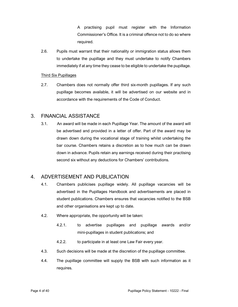A practising pupil must register with the Information Commissioner's Office. It is a criminal offence not to do so where required.

2.6. Pupils must warrant that their nationality or immigration status allows them to undertake the pupillage and they must undertake to notify Chambers immediately if at any time they cease to be eligible to undertake the pupillage.

#### Third Six Pupillages

2.7. Chambers does not normally offer third six-month pupillages. If any such pupillage becomes available, it will be advertised on our website and in accordance with the requirements of the Code of Conduct.

# 3. FINANCIAL ASSISTANCE

3.1. An award will be made in each Pupillage Year. The amount of the award will be advertised and provided in a letter of offer. Part of the award may be drawn down during the vocational stage of training whilst undertaking the bar course. Chambers retains a discretion as to how much can be drawn down in advance. Pupils retain any earnings received during their practising second six without any deductions for Chambers' contributions.

# 4. ADVERTISEMENT AND PUBLICATION

- 4.1. Chambers publicises pupillage widely. All pupillage vacancies will be advertised in the Pupillages Handbook and advertisements are placed in student publications. Chambers ensures that vacancies notified to the BSB and other organisations are kept up to date.
- 4.2. Where appropriate, the opportunity will be taken:
	- 4.2.1. to advertise pupillages and pupillage awards and/or mini-pupillages in student publications; and
	- 4.2.2. to participate in at least one Law Fair every year.
- 4.3. Such decisions will be made at the discretion of the pupillage committee.
- 4.4. The pupillage committee will supply the BSB with such information as it requires.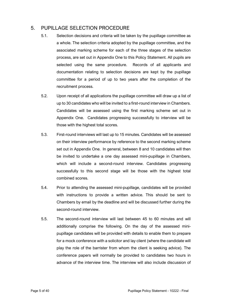# 5. PUPILLAGE SELECTION PROCEDURE

- 5.1. Selection decisions and criteria will be taken by the pupillage committee as a whole. The selection criteria adopted by the pupillage committee, and the associated marking scheme for each of the three stages of the selection process, are set out in Appendix One to this Policy Statement. All pupils are selected using the same procedure. Records of all applicants and documentation relating to selection decisions are kept by the pupillage committee for a period of up to two years after the completion of the recruitment process.
- 5.2. Upon receipt of all applications the pupillage committee will draw up a list of up to 30 candidates who will be invited to a first-round interview in Chambers. Candidates will be assessed using the first marking scheme set out in Appendix One. Candidates progressing successfully to interview will be those with the highest total scores.
- 5.3. First-round interviews will last up to 15 minutes. Candidates will be assessed on their interview performance by reference to the second marking scheme set out in Appendix One. In general, between 8 and 10 candidates will then be invited to undertake a one day assessed mini-pupillage in Chambers, which will include a second-round interview. Candidates progressing successfully to this second stage will be those with the highest total combined scores.
- 5.4. Prior to attending the assessed mini-pupillage, candidates will be provided with instructions to provide a written advice. This should be sent to Chambers by email by the deadline and will be discussed further during the second-round interview.
- 5.5. The second-round interview will last between 45 to 60 minutes and will additionally comprise the following. On the day of the assessed minipupillage candidates will be provided with details to enable them to prepare for a mock conference with a solicitor and lay client (where the candidate will play the role of the barrister from whom the client is seeking advice). The conference papers will normally be provided to candidates two hours in advance of the interview time. The interview will also include discussion of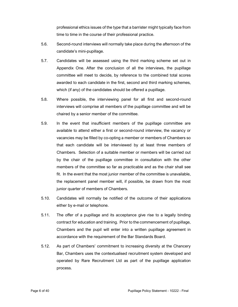professional ethics issues of the type that a barrister might typically face from time to time in the course of their professional practice.

- 5.6. Second-round interviews will normally take place during the afternoon of the candidate's mini-pupillage.
- 5.7. Candidates will be assessed using the third marking scheme set out in Appendix One. After the conclusion of all the interviews, the pupillage committee will meet to decide, by reference to the combined total scores awarded to each candidate in the first, second and third marking schemes, which (if any) of the candidates should be offered a pupillage.
- 5.8. Where possible, the interviewing panel for all first and second-round interviews will comprise all members of the pupillage committee and will be chaired by a senior member of the committee.
- 5.9. In the event that insufficient members of the pupillage committee are available to attend either a first or second-round interview, the vacancy or vacancies may be filled by co-opting a member or members of Chambers so that each candidate will be interviewed by at least three members of Chambers. Selection of a suitable member or members will be carried out by the chair of the pupillage committee in consultation with the other members of the committee so far as practicable and as the chair shall see fit. In the event that the most junior member of the committee is unavailable, the replacement panel member will, if possible, be drawn from the most junior quarter of members of Chambers.
- 5.10. Candidates will normally be notified of the outcome of their applications either by e-mail or telephone.
- 5.11. The offer of a pupillage and its acceptance give rise to a legally binding contract for education and training. Prior to the commencement of pupillage, Chambers and the pupil will enter into a written pupillage agreement in accordance with the requirement of the Bar Standards Board.
- 5.12. As part of Chambers' commitment to increasing diversity at the Chancery Bar, Chambers uses the contextualised recruitment system developed and operated by Rare Recruitment Ltd as part of the pupillage application process.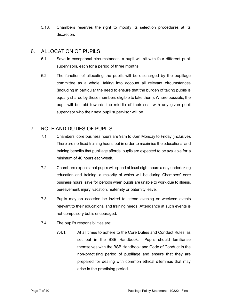5.13. Chambers reserves the right to modify its selection procedures at its discretion.

# 6. ALLOCATION OF PUPILS

- 6.1. Save in exceptional circumstances, a pupil will sit with four different pupil supervisors, each for a period of three months.
- 6.2. The function of allocating the pupils will be discharged by the pupillage committee as a whole, taking into account all relevant circumstances (including in particular the need to ensure that the burden of taking pupils is equally shared by those members eligible to take them). Where possible, the pupil will be told towards the middle of their seat with any given pupil supervisor who their next pupil supervisor will be.

# 7. ROLE AND DUTIES OF PUPILS

- 7.1. Chambers' core business hours are 9am to 6pm Monday to Friday (inclusive). There are no fixed training hours, but in order to maximise the educational and training benefits that pupillage affords, pupils are expected to be available for a minimum of 40 hours each week.
- 7.2. Chambers expects that pupils will spend at least eight hours a day undertaking education and training, a majority of which will be during Chambers' core business hours, save for periods when pupils are unable to work due to illness, bereavement, injury, vacation, maternity or paternity leave.
- 7.3. Pupils may on occasion be invited to attend evening or weekend events relevant to their educational and training needs. Attendance at such events is not compulsory but is encouraged.
- 7.4. The pupil's responsibilities are:
	- 7.4.1. At all times to adhere to the Core Duties and Conduct Rules, as set out in the BSB Handbook. Pupils should familiarise themselves with the BSB Handbook and Code of Conduct in the non-practising period of pupillage and ensure that they are prepared for dealing with common ethical dilemmas that may arise in the practising period.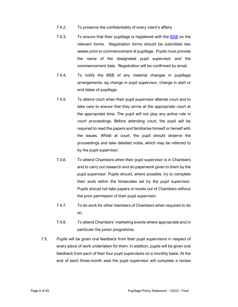- 7.4.2. To preserve the confidentiality of every client's affairs.
- 7.4.3. To ensure that their pupillage is registered with the BSB on the relevant forms. Registration forms should be submitted two weeks prior to commencement of pupillage. Pupils must provide the name of the designated pupil supervisor and the commencement date. Registration will be confirmed by email.
- 7.4.4. To notify the BSB of any material changes in pupillage arrangements, eg change in pupil supervisor, change in start or end dates of pupillage.
- 7.4.5. To attend court when their pupil supervisor attends court and to take care to ensure that they arrive at the appropriate court at the appropriate time. The pupil will not play any active role in court proceedings. Before attending court, the pupil will be required to read the papers and familiarise himself or herself with the issues. Whilst at court, the pupil should observe the proceedings and take detailed notes, which may be referred to by the pupil supervisor.
- 7.4.6. To attend Chambers when their pupil supervisor is in Chambers and to carry out research and do paperwork given to them by the pupil supervisor. Pupils should, where possible, try to complete their work within the timescales set by the pupil supervisor. Pupils should not take papers or books out of Chambers without the prior permission of their pupil supervisor.
- 7.4.7. To do work for other members of Chambers when required to do so.
- 7.4.8. To attend Chambers' marketing events where appropriate and in particular the junior programme.
- 7.5. Pupils will be given oral feedback from their pupil supervisors in respect of every piece of work undertaken for them. In addition, pupils will be given oral feedback from each of their four pupil supervisors on a monthly basis. At the end of each three-month seat the pupil supervisor will complete a review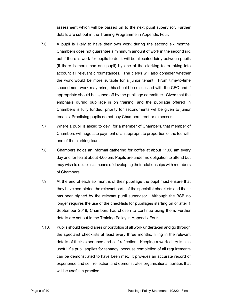assessment which will be passed on to the next pupil supervisor. Further details are set out in the Training Programme in Appendix Four.

- 7.6. A pupil is likely to have their own work during the second six months. Chambers does not guarantee a minimum amount of work in the second six, but if there is work for pupils to do, it will be allocated fairly between pupils (if there is more than one pupil) by one of the clerking team taking into account all relevant circumstances. The clerks will also consider whether the work would be more suitable for a junior tenant. From time-to-time secondment work may arise; this should be discussed with the CEO and if appropriate should be signed off by the pupillage committee. Given that the emphasis during pupillage is on training, and the pupillage offered in Chambers is fully funded, priority for secondments will be given to junior tenants. Practising pupils do not pay Chambers' rent or expenses.
- 7.7. Where a pupil is asked to devil for a member of Chambers, that member of Chambers will negotiate payment of an appropriate proportion of the fee with one of the clerking team.
- 7.8. Chambers holds an informal gathering for coffee at about 11.00 am every day and for tea at about 4.00 pm. Pupils are under no obligation to attend but may wish to do so as a means of developing their relationships with members of Chambers.
- 7.9. At the end of each six months of their pupillage the pupil must ensure that they have completed the relevant parts of the specialist checklists and that it has been signed by the relevant pupil supervisor. Although the BSB no longer requires the use of the checklists for pupillages starting on or after 1 September 2019, Chambers has chosen to continue using them. Further details are set out in the Training Policy in Appendix Four.
- 7.10. Pupils should keep diaries or portfolios of all work undertaken and go through the specialist checklists at least every three months, filling in the relevant details of their experience and self-reflection. Keeping a work diary is also useful if a pupil applies for tenancy, because completion of all requirements can be demonstrated to have been met. It provides an accurate record of experience and self-reflection and demonstrates organisational abilities that will be useful in practice.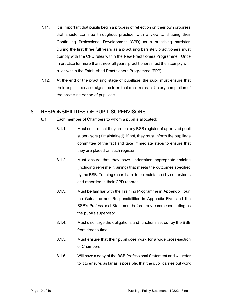- 7.11. It is important that pupils begin a process of reflection on their own progress that should continue throughout practice, with a view to shaping their Continuing Professional Development (CPD) as a practising barrister. During the first three full years as a practising barrister, practitioners must comply with the CPD rules within the New Practitioners Programme. Once in practice for more than three full years, practitioners must then comply with rules within the Established Practitioners Programme (EPP).
- 7.12. At the end of the practising stage of pupillage, the pupil must ensure that their pupil supervisor signs the form that declares satisfactory completion of the practising period of pupillage.

# 8. RESPONSIBILITIES OF PUPIL SUPERVISORS

- 8.1. Each member of Chambers to whom a pupil is allocated:
	- 8.1.1. Must ensure that they are on any BSB register of approved pupil supervisors (if maintained). If not, they must inform the pupillage committee of the fact and take immediate steps to ensure that they are placed on such register.
	- 8.1.2. Must ensure that they have undertaken appropriate training (including refresher training) that meets the outcomes specified by the BSB. Training records are to be maintained by supervisors and recorded in their CPD records.
	- 8.1.3. Must be familiar with the Training Programme in Appendix Four, the Guidance and Responsibilities in Appendix Five, and the BSB's Professional Statement before they commence acting as the pupil's supervisor.
	- 8.1.4. Must discharge the obligations and functions set out by the BSB from time to time.
	- 8.1.5. Must ensure that their pupil does work for a wide cross-section of Chambers.
	- 8.1.6. Will have a copy of the BSB Professional Statement and will refer to it to ensure, as far as is possible, that the pupil carries out work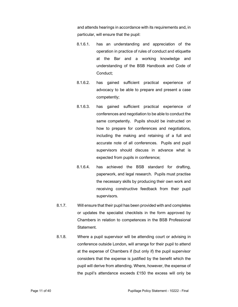and attends hearings in accordance with its requirements and, in particular, will ensure that the pupil:

- 8.1.6.1. has an understanding and appreciation of the operation in practice of rules of conduct and etiquette at the Bar and a working knowledge and understanding of the BSB Handbook and Code of Conduct;
- 8.1.6.2. has gained sufficient practical experience of advocacy to be able to prepare and present a case competently;
- 8.1.6.3. has gained sufficient practical experience of conferences and negotiation to be able to conduct the same competently. Pupils should be instructed on how to prepare for conferences and negotiations, including the making and retaining of a full and accurate note of all conferences. Pupils and pupil supervisors should discuss in advance what is expected from pupils in conference;
- 8.1.6.4. has achieved the BSB standard for drafting, paperwork, and legal research. Pupils must practise the necessary skills by producing their own work and receiving constructive feedback from their pupil supervisors.
- 8.1.7. Will ensure that their pupil has been provided with and completes or updates the specialist checklists in the form approved by Chambers in relation to competences in the BSB Professional Statement.
- 8.1.8. Where a pupil supervisor will be attending court or advising in conference outside London, will arrange for their pupil to attend at the expense of Chambers if (but only if) the pupil supervisor considers that the expense is justified by the benefit which the pupil will derive from attending. Where, however, the expense of the pupil's attendance exceeds £150 the excess will only be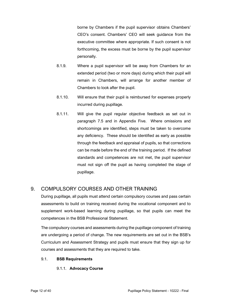borne by Chambers if the pupil supervisor obtains Chambers' CEO's consent. Chambers' CEO will seek guidance from the executive committee where appropriate. If such consent is not forthcoming, the excess must be borne by the pupil supervisor personally.

- 8.1.9. Where a pupil supervisor will be away from Chambers for an extended period (two or more days) during which their pupil will remain in Chambers, will arrange for another member of Chambers to look after the pupil.
- 8.1.10. Will ensure that their pupil is reimbursed for expenses properly incurred during pupillage.
- 8.1.11. Will give the pupil regular objective feedback as set out in paragraph 7.5 and in Appendix Five. Where omissions and shortcomings are identified, steps must be taken to overcome any deficiency. These should be identified as early as possible through the feedback and appraisal of pupils, so that corrections can be made before the end of the training period. If the defined standards and competences are not met, the pupil supervisor must not sign off the pupil as having completed the stage of pupillage.

# 9. COMPULSORY COURSES AND OTHER TRAINING

During pupillage, all pupils must attend certain compulsory courses and pass certain assessments to build on training received during the vocational component and to supplement work-based learning during pupillage, so that pupils can meet the competences in the BSB Professional Statement.

The compulsory courses and assessments during the pupillage component of training are undergoing a period of change. The new requirements are set out in the BSB's Curriculum and Assessment Strategy and pupils must ensure that they sign up for courses and assessments that they are required to take.

#### 9.1. BSB Requirements

#### 9.1.1. Advocacy Course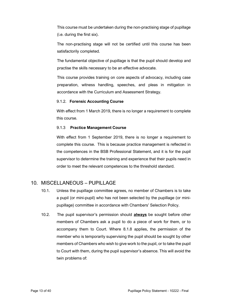This course must be undertaken during the non-practising stage of pupillage (i.e. during the first six).

The non-practising stage will not be certified until this course has been satisfactorily completed.

The fundamental objective of pupillage is that the pupil should develop and practise the skills necessary to be an effective advocate.

This course provides training on core aspects of advocacy, including case preparation, witness handling, speeches, and pleas in mitigation in accordance with the Curriculum and Assessment Strategy.

#### 9.1.2. Forensic Accounting Course

With effect from 1 March 2019, there is no longer a requirement to complete this course.

#### 9.1.3 Practice Management Course

With effect from 1 September 2019, there is no longer a requirement to complete this course. This is because practice management is reflected in the competences in the BSB Professional Statement, and it is for the pupil supervisor to determine the training and experience that their pupils need in order to meet the relevant competences to the threshold standard.

# 10. MISCELLANEOUS – PUPILLAGE

- 10.1. Unless the pupillage committee agrees, no member of Chambers is to take a pupil (or mini-pupil) who has not been selected by the pupillage (or minipupillage) committee in accordance with Chambers' Selection Policy.
- 10.2. The pupil supervisor's permission should always be sought before other members of Chambers ask a pupil to do a piece of work for them, or to accompany them to Court. Where 8.1.8 applies, the permission of the member who is temporarily supervising the pupil should be sought by other members of Chambers who wish to give work to the pupil, or to take the pupil to Court with them, during the pupil supervisor's absence. This will avoid the twin problems of: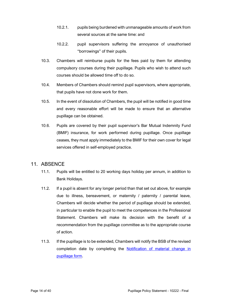- 10.2.1. pupils being burdened with unmanageable amounts of work from several sources at the same time: and
- 10.2.2. pupil supervisors suffering the annoyance of unauthorised "borrowings" of their pupils.
- 10.3. Chambers will reimburse pupils for the fees paid by them for attending compulsory courses during their pupillage. Pupils who wish to attend such courses should be allowed time off to do so.
- 10.4. Members of Chambers should remind pupil supervisors, where appropriate, that pupils have not done work for them.
- 10.5. In the event of dissolution of Chambers, the pupil will be notified in good time and every reasonable effort will be made to ensure that an alternative pupillage can be obtained.
- 10.6. Pupils are covered by their pupil supervisor's Bar Mutual Indemnity Fund (BMIF) insurance, for work performed during pupillage. Once pupillage ceases, they must apply immediately to the BMIF for their own cover for legal services offered in self-employed practice.

# 11. ABSENCE

- 11.1. Pupils will be entitled to 20 working days holiday per annum, in addition to Bank Holidays.
- 11.2. If a pupil is absent for any longer period than that set out above, for example due to illness, bereavement, or maternity / paternity / parental leave, Chambers will decide whether the period of pupillage should be extended, in particular to enable the pupil to meet the competences in the Professional Statement. Chambers will make its decision with the benefit of a recommendation from the pupillage committee as to the appropriate course of action.
- 11.3. If the pupillage is to be extended, Chambers will notify the BSB of the revised completion date by completing the **Notification of material change in** pupillage form.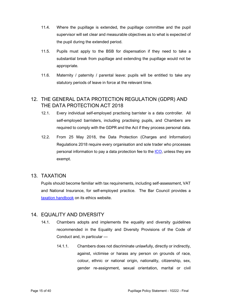- 11.4. Where the pupillage is extended, the pupillage committee and the pupil supervisor will set clear and measurable objectives as to what is expected of the pupil during the extended period.
- 11.5. Pupils must apply to the BSB for dispensation if they need to take a substantial break from pupillage and extending the pupillage would not be appropriate.
- 11.6. Maternity / paternity / parental leave: pupils will be entitled to take any statutory periods of leave in force at the relevant time.

# 12. THE GENERAL DATA PROTECTION REGULATION (GDPR) AND THE DATA PROTECTION ACT 2018

- 12.1. Every individual self-employed practising barrister is a data controller. All self-employed barristers, including practising pupils, and Chambers are required to comply with the GDPR and the Act if they process personal data.
- 12.2. From 25 May 2018, the Data Protection (Charges and Information) Regulations 2018 require every organisation and sole trader who processes personal information to pay a data protection fee to the ICO, unless they are exempt.

## 13. TAXATION

Pupils should become familiar with tax requirements, including self-assessment, VAT and National Insurance, for self-employed practice. The Bar Council provides a taxation handbook on its ethics website.

## 14. EQUALITY AND DIVERSITY

- 14.1. Chambers adopts and implements the equality and diversity guidelines recommended in the Equality and Diversity Provisions of the Code of Conduct and, in particular —
	- 14.1.1. Chambers does not discriminate unlawfully, directly or indirectly, against, victimise or harass any person on grounds of race, colour, ethnic or national origin, nationality, citizenship, sex, gender re-assignment, sexual orientation, marital or civil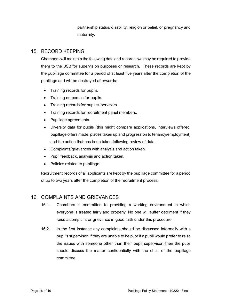partnership status, disability, religion or belief, or pregnancy and maternity.

# 15. RECORD KEEPING

Chambers will maintain the following data and records; we may be required to provide them to the BSB for supervision purposes or research. These records are kept by the pupillage committee for a period of at least five years after the completion of the pupillage and will be destroyed afterwards:

- Training records for pupils.
- Training outcomes for pupils.
- Training records for pupil supervisors.
- Training records for recruitment panel members.
- Pupillage agreements.
- Diversity data for pupils (this might compare applications, interviews offered, pupillage offers made, places taken up and progression to tenancy/employment) and the action that has been taken following review of data.
- Complaints/grievances with analysis and action taken.
- Pupil feedback, analysis and action taken.
- Policies related to pupillage.

Recruitment records of all applicants are kept by the pupillage committee for a period of up to two years after the completion of the recruitment process.

# 16. COMPLAINTS AND GRIEVANCES

- 16.1. Chambers is committed to providing a working environment in which everyone is treated fairly and properly. No one will suffer detriment if they raise a complaint or grievance in good faith under this procedure.
- 16.2. In the first instance any complaints should be discussed informally with a pupil's supervisor. If they are unable to help, or if a pupil would prefer to raise the issues with someone other than their pupil supervisor, then the pupil should discuss the matter confidentially with the chair of the pupillage committee.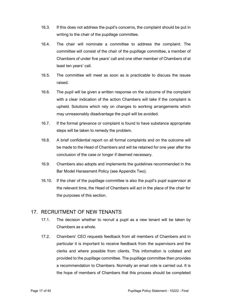- 16.3. If this does not address the pupil's concerns, the complaint should be put in writing to the chair of the pupillage committee.
- 16.4. The chair will nominate a committee to address the complaint. The committee will consist of the chair of the pupillage committee, a member of Chambers of under five years' call and one other member of Chambers of at least ten years' call.
- 16.5. The committee will meet as soon as is practicable to discuss the issues raised.
- 16.6. The pupil will be given a written response on the outcome of the complaint with a clear indication of the action Chambers will take if the complaint is upheld. Solutions which rely on changes to working arrangements which may unreasonably disadvantage the pupil will be avoided.
- 16.7. If the formal grievance or complaint is found to have substance appropriate steps will be taken to remedy the problem.
- 16.8. A brief confidential report on all formal complaints and on the outcome will be made to the Head of Chambers and will be retained for one year after the conclusion of the case or longer if deemed necessary.
- 16.9. Chambers also adopts and implements the guidelines recommended in the Bar Model Harassment Policy (see Appendix Two).
- 16.10. If the chair of the pupillage committee is also the pupil's pupil supervisor at the relevant time, the Head of Chambers will act in the place of the chair for the purposes of this section.

## 17. RECRUITMENT OF NEW TENANTS

- 17.1. The decision whether to recruit a pupil as a new tenant will be taken by Chambers as a whole.
- 17.2. Chambers' CEO requests feedback from all members of Chambers and in particular it is important to receive feedback from the supervisors and the clerks and where possible from clients. This information is collated and provided to the pupillage committee. The pupillage committee then provides a recommendation to Chambers. Normally an email vote is carried out. It is the hope of members of Chambers that this process should be completed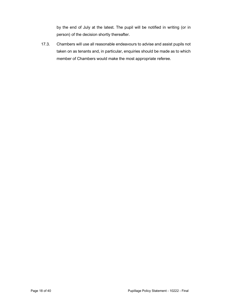by the end of July at the latest. The pupil will be notified in writing (or in person) of the decision shortly thereafter.

17.3. Chambers will use all reasonable endeavours to advise and assist pupils not taken on as tenants and, in particular, enquiries should be made as to which member of Chambers would make the most appropriate referee.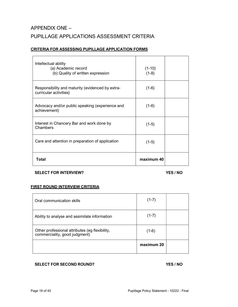# APPENDIX ONE – PUPILLAGE APPLICATIONS ASSESSMENT CRITERIA

#### CRITERIA FOR ASSESSING PUPILLAGE APPLICATION FORMS

| Intellectual ability<br>(a) Academic record<br>(b) Quality of written expression | $(1-10)$<br>$(1-8)$ |  |
|----------------------------------------------------------------------------------|---------------------|--|
| Responsibility and maturity (evidenced by extra-<br>curricular activities)       | $(1-6)$             |  |
| Advocacy and/or public speaking (experience and<br>achievement)                  | $(1-6)$             |  |
| Interest in Chancery Bar and work done by<br>Chambers                            | $(1-5)$             |  |
| Care and attention in preparation of application                                 | $(1-5)$             |  |
| Total                                                                            | maximum 40          |  |

#### SELECT FOR INTERVIEW? YES / NO

#### FIRST ROUND INTERVIEW CRITERIA

| Oral communication skills                                                       | $(1-7)$    |  |
|---------------------------------------------------------------------------------|------------|--|
| Ability to analyse and assimilate information                                   | $(1-7)$    |  |
| Other professional attributes (eg flexibility,<br>commerciality, good judgment) | $(1-6)$    |  |
|                                                                                 | maximum 20 |  |

#### SELECT FOR SECOND ROUND? YES / NO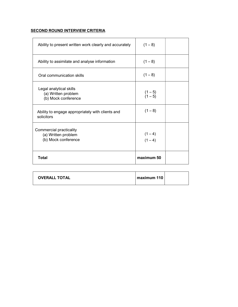# **SECOND ROUND INTERVIEW CRITERIA**

| Ability to present written work clearly and accurately                | $(1 - 8)$              |
|-----------------------------------------------------------------------|------------------------|
| Ability to assimilate and analyse information                         | $(1 - 8)$              |
| Oral communication skills                                             | $(1 - 8)$              |
| Legal analytical skills<br>(a) Written problem<br>(b) Mock conference | $(1-5)$<br>$(1-5)$     |
| Ability to engage appropriately with clients and<br>solicitors        | $(1 - 8)$              |
| Commercial practicality<br>(a) Written problem<br>(b) Mock conference | $(1 - 4)$<br>$(1 - 4)$ |
| <b>Total</b>                                                          | maximum 50             |

| <b>OVERALL TOTAL</b> | maximum 110 |  |
|----------------------|-------------|--|
|----------------------|-------------|--|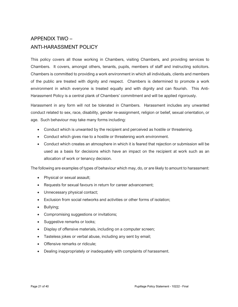# APPENDIX TWO – ANTI-HARASSMENT POLICY

This policy covers all those working in Chambers, visiting Chambers, and providing services to Chambers. It covers, amongst others, tenants, pupils, members of staff and instructing solicitors. Chambers is committed to providing a work environment in which all individuals, clients and members of the public are treated with dignity and respect. Chambers is determined to promote a work environment in which everyone is treated equally and with dignity and can flourish. This Anti-Harassment Policy is a central plank of Chambers' commitment and will be applied rigorously.

Harassment in any form will not be tolerated in Chambers. Harassment includes any unwanted conduct related to sex, race, disability, gender re-assignment, religion or belief, sexual orientation, or age. Such behaviour may take many forms including:

- Conduct which is unwanted by the recipient and perceived as hostile or threatening.
- Conduct which gives rise to a hostile or threatening work environment.
- Conduct which creates an atmosphere in which it is feared that rejection or submission will be used as a basis for decisions which have an impact on the recipient at work such as an allocation of work or tenancy decision.

The following are examples of types of behaviour which may, do, or are likely to amount to harassment:

- Physical or sexual assault;
- Requests for sexual favours in return for career advancement;
- Unnecessary physical contact;
- Exclusion from social networks and activities or other forms of isolation;
- Bullying;
- Compromising suggestions or invitations;
- Suggestive remarks or looks;
- Display of offensive materials, including on a computer screen;
- Tasteless jokes or verbal abuse, including any sent by email;
- Offensive remarks or ridicule:
- Dealing inappropriately or inadequately with complaints of harassment.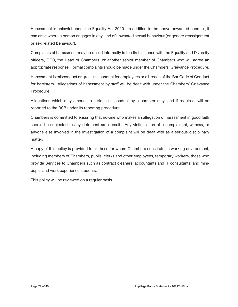Harassment is unlawful under the Equality Act 2010. In addition to the above unwanted conduct, it can arise where a person engages in any kind of unwanted sexual behaviour (or gender reassignment or sex related behaviour).

Complaints of harassment may be raised informally in the first instance with the Equality and Diversity officers, CEO, the Head of Chambers, or another senior member of Chambers who will agree an appropriate response. Formal complaints should be made under the Chambers' Grievance Procedure.

Harassment is misconduct or gross misconduct for employees or a breach of the Bar Code of Conduct for barristers. Allegations of harassment by staff will be dealt with under the Chambers' Grievance Procedure.

Allegations which may amount to serious misconduct by a barrister may, and if required, will be reported to the BSB under its reporting procedure.

Chambers is committed to ensuring that no-one who makes an allegation of harassment in good faith should be subjected to any detriment as a result. Any victimisation of a complainant, witness, or anyone else involved in the investigation of a complaint will be dealt with as a serious disciplinary matter.

A copy of this policy is provided to all those for whom Chambers constitutes a working environment, including members of Chambers, pupils, clerks and other employees, temporary workers, those who provide Services to Chambers such as contract cleaners, accountants and IT consultants, and minipupils and work experience students.

This policy will be reviewed on a regular basis.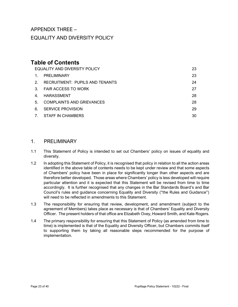# APPENDIX THREE – EQUALITY AND DIVERSITY POLICY

# Table of Contents

| EQUALITY AND DIVERSITY POLICY  |                                        | 23 |
|--------------------------------|----------------------------------------|----|
| $\mathbf{1}$ .                 | PRELIMINARY                            | 23 |
| $2^{2}$                        | <b>RECRUITMENT: PUPILS AND TENANTS</b> | 24 |
| 3 <sub>1</sub>                 | <b>FAIR ACCESS TO WORK</b>             | 27 |
| 4.                             | HARASSMENT                             | 28 |
| 5.                             | <b>COMPLAINTS AND GRIEVANCES</b>       | 28 |
| 6.                             | <b>SERVICE PROVISION</b>               | 29 |
| $7_{\scriptscriptstyle{\sim}}$ | STAFF IN CHAMBERS                      | 30 |

# 1. PRELIMINARY

- 1.1 This Statement of Policy is intended to set out Chambers' policy on issues of equality and diversity.
- 1.2 In adopting this Statement of Policy, it is recognised that policy in relation to all the action areas identified in the above table of contents needs to be kept under review and that some aspects of Chambers' policy have been in place for significantly longer than other aspects and are therefore better developed. Those areas where Chambers' policy is less developed will require particular attention and it is expected that this Statement will be revised from time to time accordingly. It is further recognised that any changes in the Bar Standards Board's and Bar Council's rules and guidance concerning Equality and Diversity ("the Rules and Guidance") will need to be reflected in amendments to this Statement.
- 1.3 The responsibility for ensuring that review, development, and amendment (subject to the agreement of Members) takes place as necessary is that of Chambers' Equality and Diversity Officer. The present holders of that office are Elizabeth Ovey, Howard Smith, and Kate Rogers.
- 1.4 The primary responsibility for ensuring that this Statement of Policy (as amended from time to time) is implemented is that of the Equality and Diversity Officer, but Chambers commits itself to supporting them by taking all reasonable steps recommended for the purpose of implementation.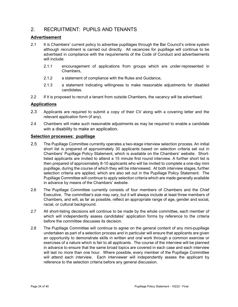# 2. RECRUITMENT: PUPILS AND TENANTS

#### Advertisement

- 2.1 It is Chambers' current policy to advertise pupillages through the Bar Council's online system although recruitment is carried out directly. All vacancies for pupillage will continue to be advertised in compliance with the requirements of the Code of Conduct and advertisements will include:
	- 2.1.1 encouragement of applications from groups which are under-represented in Chambers,
	- 2.1.2 a statement of compliance with the Rules and Guidance,
	- 2.1.3 a statement indicating willingness to make reasonable adjustments for disabled candidates.
- 2.2 If it is proposed to recruit a tenant from outside Chambers, the vacancy will be advertised.

#### **Applications**

- 2.3 Applicants are required to submit a copy of their CV along with a covering letter and the relevant application form (if any).
- 2.4 Chambers will make such reasonable adjustments as may be required to enable a candidate with a disability to make an application.

#### Selection processes: pupillage

- 2.5 The Pupillage Committee currently operates a two-stage interview selection process. An initial short list is prepared of approximately 30 applicants based on selection criteria set out in Chambers' Pupillage Policy Statement, which is available on the Chambers' website. Shortlisted applicants are invited to attend a 15 minute first round interview. A further short list is then prepared of approximately 8-10 applicants who will be invited to complete a one-day mini pupillage, during the course of which they will be interviewed. At both interview stages, further selection criteria are applied, which are also set out in the Pupillage Policy Statement. The Pupillage Committee will continue to apply selection criteria which are made generally available in advance by means of the Chambers' website.
- 2.6 The Pupillage Committee currently consists of four members of Chambers and the Chief Executive. The committee's size may vary, but it will always include at least three members of Chambers, and will, as far as possible, reflect an appropriate range of age, gender and social, racial, or cultural background.
- 2.7 All short-listing decisions will continue to be made by the whole committee, each member of which will independently assess candidates' application forms by reference to the criteria before the committee discusses its decision.
- 2.8 The Pupillage Committee will continue to agree on the general content of any mini-pupillage undertaken as part of a selection process and in particular will ensure that applicants are given an opportunity to demonstrate skills in written and oral work through a common exercise or exercises of a nature which is fair to all applicants. The course of the interview will be planned in advance to ensure that the same broad topics are covered in each case and each interview will last no more than one hour. Where possible, every member of the Pupillage Committee will attend each interview. Each interviewer will independently assess the applicant by reference to the selection criteria before any general discussion.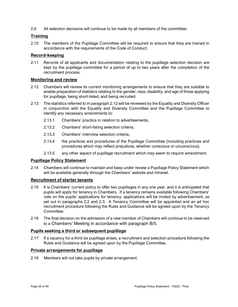2.9 All selection decisions will continue to be made by all members of the committee.

### **Training**

2.10 The members of the Pupillage Committee will be required to ensure that they are trained in accordance with the requirements of the Code of Conduct.

#### Record-keeping

2.11 Records of all applicants and documentation relating to the pupillage selection decision are kept by the pupillage committee for a period of up to two years after the completion of the recruitment process.

#### Monitoring and review

- 2.12 Chambers will review its current monitoring arrangements to ensure that they are suitable to enable preparation of statistics relating to the gender, race, disability, and age of those applying for pupillage, being short-listed, and being recruited.
- 2.13 The statistics referred to in paragraph 2.12 will be reviewed by the Equality and Diversity Officer in conjunction with the Equality and Diversity Committee and the Pupillage Committee to identify any necessary amendments to:
	- 2.13.1 Chambers' practice in relation to advertisements,
	- 2.13.2 Chambers' short-listing selection criteria,
	- 2.13.3 Chambers' interview selection criteria,
	- 2.13.4 the practices and procedures of the Pupillage Committee (including practices and procedures which may reflect prejudices, whether conscious or unconscious),
	- 2.13.5 any other aspect of pupillage recruitment which may seem to require amendment.

#### Pupillage Policy Statement

2.14 Chambers will continue to maintain and keep under review a Pupillage Policy Statement which will be available generally through the Chambers' website and intranet.

#### Recruitment of starter tenants

- 2.15 It is Chambers' current policy to offer two pupillages in any one year, and it is anticipated that pupils will apply for tenancy in Chambers. If a tenancy remains available following Chambers' vote on the pupils' applications for tenancy, applications will be invited by advertisement, as set out in paragraphs 2.2 and 2.3. A Tenancy Committee will be appointed and an ad hoc recruitment procedure following the Rules and Guidance will be agreed upon by the Tenancy Committee.
- 2.16 The final decision on the admission of a new member of Chambers will continue to be reserved to a Chambers' Meeting in accordance with paragraph B/5.

#### Pupils seeking a third or subsequent pupillage

2.17 If a vacancy for a third six pupillage arises, a recruitment and selection procedure following the Rules and Guidance will be agreed upon by the Pupillage Committee.

#### Private arrangements for pupillage

2.18 Members will not take pupils by private arrangement.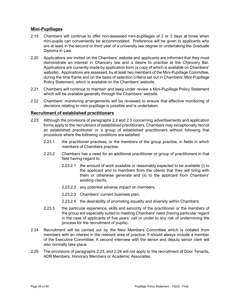#### Mini-Pupillages

- 2.19 Chambers will continue to offer non-assessed mini-pupillages of 2 or 3 days at times when mini-pupils can conveniently be accommodated. Preference will be given to applicants who are at least in the second or third year of a university law degree or undertaking the Graduate Diploma in Law.
- 2.20 Applications are invited on the Chambers' website and applicants are informed that they must demonstrate an interest in Chancery law and a desire to practise at the Chancery Bar. Applications are currently made by application form (a copy of which is available on Chambers' website). Applications are assessed, by at least two members of the Mini-Pupillage Committee, during the time frame and on the basis of selection criteria set out in Chambers' Mini-Pupillage Policy Statement, which is available on the Chambers' website.
- 2.21 Chambers will continue to maintain and keep under review a Mini-Pupillage Policy Statement which will be available generally through the Chambers' website.
- 2.22 Chambers' monitoring arrangements will be reviewed to ensure that effective monitoring of decisions relating to mini-pupillage is possible and is undertaken.

#### Recruitment of established practitioners

- 2.23 Although the provisions of paragraphs 2.2 and 2.3 concerning advertisements and application forms apply to the recruitment of established practitioners, Chambers may exceptionally recruit an established practitioner or a group of established practitioners without following that procedure where the following conditions are satisfied:
	- 2.23.1 the practitioner practises, or the members of the group practise, in fields in which members of Chambers practise.
	- 2.23.2 Chambers has a need for an additional practitioner or group of practitioners in that field having regard to:
		- 2.23.2.1 the amount of work available or reasonably expected to be available (i) to the applicant and to members from the clients that they will bring with them or otherwise generate and (ii) to the applicant from Chambers' existing clients,
		- 2.23.2.2 any potential adverse impact on members,
		- 2.23.2.3 Chambers' current business plan,
		- 2.23.2.4 the desirability of promoting equality and diversity within Chambers.
	- 2.23.3 the particular experience, skills and seniority of the practitioner or the members of the group are especially suited to meeting Chambers' need (having particular regard in the case of applicants of five years' call or under to any risk of undermining the process for the recruitment of pupils).
- 2.24 Recruitment will be carried out by the New Members Committee which is collated from members with an interest in the relevant area of practice. It should always include a member of the Executive Committee. A second interview with the senior and deputy senior clerk will also normally take place.
- 2.25 The provisions of paragraphs 2.23, and 2.24 will not apply to the recruitment of Door Tenants, ADR Members, Honorary Members or Academic Associates.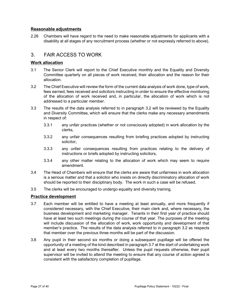#### Reasonable adjustments

2.26 Chambers will have regard to the need to make reasonable adjustments for applicants with a disability at all stages of any recruitment process (whether or not expressly referred to above).

# 3. FAIR ACCESS TO WORK

#### Work allocation

- 3.1 The Senior Clerk will report to the Chief Executive monthly and the Equality and Diversity Committee quarterly on all pieces of work received, their allocation and the reason for their allocation.
- 3.2 The Chief Executive will review the form of the current data analysis of work done, type of work, fees earned, fees received and solicitors instructing in order to ensure the effective monitoring of the allocation of work received and, in particular, the allocation of work which is not addressed to a particular member.
- 3.3 The results of the data analysis referred to in paragraph 3.2 will be reviewed by the Equality and Diversity Committee, which will ensure that the clerks make any necessary amendments in respect of:
	- 3.3.1 any unfair practices (whether or not consciously adopted) in work allocation by the clerks,
	- 3.3.2 any unfair consequences resulting from briefing practices adopted by instructing solicitor,
	- 3.3.3 any unfair consequences resulting from practices relating to the delivery of instructions or briefs adopted by instructing solicitors,
	- 3.3.4 any other matter relating to the allocation of work which may seem to require amendment.
- 3.4 The Head of Chambers will ensure that the clerks are aware that unfairness in work allocation is a serious matter and that a solicitor who insists on directly discriminatory allocation of work should be reported to their disciplinary body. The work in such a case will be refused.
- 3.5 The clerks will be encouraged to undergo equality and diversity training.

#### Practice development

- 3.7 Each member will be entitled to have a meeting at least annually, and more frequently if considered necessary, with the Chief Executive, their main clerk and, where necessary, the business development and marketing manager. Tenants in their first year of practice should have at least two such meetings during the course of that year. The purposes of the meeting will include discussion of the allocation of work, work opportunity and development of that member's practice. The results of the data analysis referred to in paragraph 3.2 as respects that member over the previous three months will be part of the discussion.
- 3.8 Any pupil in their second six months or doing a subsequent pupillage will be offered the opportunity of a meeting of the kind described in paragraph 3.7 at the start of undertaking work and at least every two months thereafter. Unless the pupil requests otherwise, their pupil supervisor will be invited to attend the meeting to ensure that any course of action agreed is consistent with the satisfactory completion of pupillage.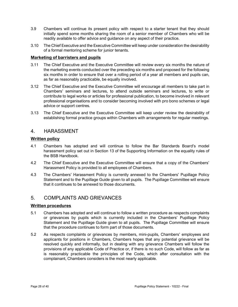- 3.9 Chambers will continue its present policy with respect to a starter tenant that they should initially spend some months sharing the room of a senior member of Chambers who will be readily available to offer advice and guidance on any aspect of their practice.
- 3.10 The Chief Executive and the Executive Committee will keep under consideration the desirability of a formal mentoring scheme for junior tenants.

#### Marketing of barristers and pupils

- 3.11 The Chief Executive and the Executive Committee will review every six months the nature of the marketing events conducted over the preceding six months and proposed for the following six months in order to ensure that over a rolling period of a year all members and pupils can, as far as reasonably practicable, be equally involved.
- 3.12 The Chief Executive and the Executive Committee will encourage all members to take part in Chambers' seminars and lectures, to attend outside seminars and lectures, to write or contribute to legal works or articles for professional publication, to become involved in relevant professional organisations and to consider becoming involved with pro bono schemes or legal advice or support centres.
- 3.13 The Chief Executive and the Executive Committee will keep under review the desirability of establishing formal practice groups within Chambers with arrangements for regular meetings.

# 4. HARASSMENT

#### Written policy

- 4.1 Chambers has adopted and will continue to follow the Bar Standards Board's model harassment policy set out in Section 13 of the Supporting Information on the equality rules of the BSB Handbook.
- 4.2 The Chief Executive and the Executive Committee will ensure that a copy of the Chambers' Harassment Policy is provided to all employees of Chambers.
- 4.3 The Chambers' Harassment Policy is currently annexed to the Chambers' Pupillage Policy Statement and to the Pupillage Guide given to all pupils. The Pupillage Committee will ensure that it continues to be annexed to those documents.

# 5. COMPLAINTS AND GRIEVANCES

#### Written procedures

- 5.1 Chambers has adopted and will continue to follow a written procedure as respects complaints or grievances by pupils which is currently included in the Chambers' Pupillage Policy Statement and the Pupillage Guide given to all pupils. The Pupillage Committee will ensure that the procedure continues to form part of those documents.
- 5.2 As respects complaints or grievances by members, mini-pupils, Chambers' employees and applicants for positions in Chambers, Chambers hopes that any potential grievance will be resolved quickly and informally, but in dealing with any grievance Chambers will follow the provisions of any applicable Code of Practice or, if there is no such Code, will follow as far as is reasonably practicable the principles of the Code, which after consultation with the complainant, Chambers considers is the most nearly applicable.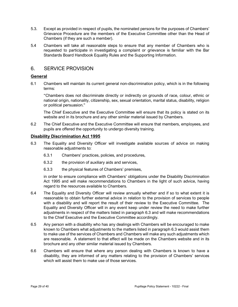- 5.3. Except as provided in respect of pupils, the nominated persons for the purposes of Chambers' Grievance Procedure are the members of the Executive Committee other than the Head of Chambers (if they are such a member).
- 5.4 Chambers will take all reasonable steps to ensure that any member of Chambers who is requested to participate in investigating a complaint or grievance is familiar with the Bar Standards Board Handbook Equality Rules and the Supporting Information.

# 6. SERVICE PROVISION

#### General

6.1 Chambers will maintain its current general non-discrimination policy, which is in the following terms:

"Chambers does not discriminate directly or indirectly on grounds of race, colour, ethnic or national origin, nationality, citizenship, sex, sexual orientation, marital status, disability, religion or political persuasion."

The Chief Executive and the Executive Committee will ensure that its policy is stated on its website and in its brochure and any other similar material issued by Chambers.

6.2 The Chief Executive and the Executive Committee will ensure that members, employees, and pupils are offered the opportunity to undergo diversity training.

#### Disability Discrimination Act 1995

- 6.3 The Equality and Diversity Officer will investigate available sources of advice on making reasonable adjustments to:
	- 6.3.1 Chambers' practices, policies, and procedures,
	- 6.3.2 the provision of auxiliary aids and services,
	- 6.3.3 the physical features of Chambers' premises,

in order to ensure compliance with Chambers' obligations under the Disability Discrimination Act 1995 and will make recommendations to Chambers in the light of such advice, having regard to the resources available to Chambers.

- 6.4 The Equality and Diversity Officer will review annually whether and if so to what extent it is reasonable to obtain further external advice in relation to the provision of services to people with a disability and will report the result of their review to the Executive Committee. The Equality and Diversity Officer will in any event keep under review the need to make further adjustments in respect of the matters listed in paragraph 6.3 and will make recommendations to the Chief Executive and the Executive Committee accordingly.
- 6.5 Any person with a disability who has any dealings with Chambers will be encouraged to make known to Chambers what adjustments to the matters listed in paragraph 6.3 would assist them to make use of the services of Chambers and Chambers will make any such adjustments which are reasonable. A statement to that effect will be made on the Chambers website and in its brochure and any other similar material issued by Chambers.
- 6.6 Chambers will ensure that where any person dealing with Chambers is known to have a disability, they are informed of any matters relating to the provision of Chambers' services which will assist them to make use of those services.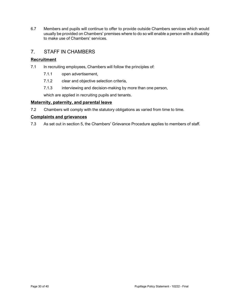6.7 Members and pupils will continue to offer to provide outside Chambers services which would usually be provided on Chambers' premises where to do so will enable a person with a disability to make use of Chambers' services.

# 7. STAFF IN CHAMBERS

## **Recruitment**

- 7.1 In recruiting employees, Chambers will follow the principles of:
	- 7.1.1 open advertisement,
	- 7.1.2 clear and objective selection criteria,
	- 7.1.3 interviewing and decision-making by more than one person,

which are applied in recruiting pupils and tenants.

#### Maternity, paternity, and parental leave

7.2 Chambers will comply with the statutory obligations as varied from time to time.

#### Complaints and grievances

7.3 As set out in section 5, the Chambers' Grievance Procedure applies to members of staff.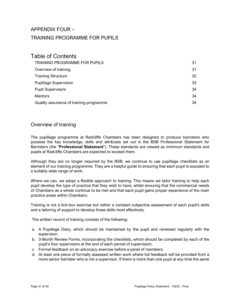# APPENDIX FOUR – TRAINING PROGRAMME FOR PUPILS

# Table of Contents

| <b>TRAINING PROGRAMME FOR PUPILS</b>    | 31 |
|-----------------------------------------|----|
| Overview of training                    | 31 |
| <b>Training Structure</b>               | 32 |
| <b>Pupillage Supervision</b>            | 33 |
| <b>Pupil Supervisors</b>                | 34 |
| <b>Mentors</b>                          | 34 |
| Quality assurance of training programme | 34 |

# Overview of training

The pupillage programme at Radcliffe Chambers has been designed to produce barristers who possess the key knowledge, skills and attributes set out in the BSB Professional Statement for Barristers (the "Professional Statement"). These standards are viewed as minimum standards and pupils at Radcliffe Chambers are expected to exceed them.

Although they are no longer required by the BSB, we continue to use pupillage checklists as an element of our training programme. They are a helpful guide to ensuring that each pupil is exposed to a suitably wide range of work.

Where we can, we adopt a flexible approach to training. This means we tailor training to help each pupil develop the type of practice that they wish to have, whilst ensuring that the commercial needs of Chambers as a whole continue to be met and that each pupil gains proper experience of the main practice areas within Chambers.

Training is not a tick-box exercise but rather a constant subjective assessment of each pupil's skills and a tailoring of support to develop those skills most effectively.

The written record of training consists of the following:

- a. A Pupillage Diary, which should be maintained by the pupil and reviewed regularly with the supervisor;
- b. 3-Month Review Forms, incorporating the checklists, which should be completed by each of the pupil's four supervisors at the end of each period of supervision;
- c. Formal feedback on an advocacy exercise before a panel of members;
- d. At least one piece of formally assessed written work where full feedback will be provided from a more senior barrister who is not a supervisor. If there is more than one pupil at any time the same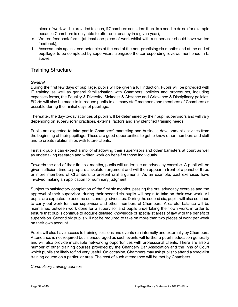piece of work will be provided to each, if Chambers considers there is a need to do so (for example because Chambers is only able to offer one tenancy in a given year);

- e. Written feedback forms (at least one piece of work whilst with a supervisor should have written feedback);
- f. Assessments against competencies at the end of the non-practising six months and at the end of pupillage, to be completed by supervisors alongside the corresponding reviews mentioned in b. above.

# Training Structure

#### **General**

During the first few days of pupillage, pupils will be given a full induction. Pupils will be provided with IT training as well as general familiarisation with Chambers' policies and procedures, including expenses forms, the Equality & Diversity, Sickness & Absence and Grievance & Disciplinary policies. Efforts will also be made to introduce pupils to as many staff members and members of Chambers as possible during their initial days of pupillage.

Thereafter, the day-to-day activities of pupils will be determined by their pupil supervisors and will vary depending on supervisors' practices, external factors and any identified training needs.

Pupils are expected to take part in Chambers' marketing and business development activities from the beginning of their pupillage. These are good opportunities to get to know other members and staff and to create relationships with future clients.

First six pupils can expect a mix of shadowing their supervisors and other barristers at court as well as undertaking research and written work on behalf of those individuals.

Towards the end of their first six months, pupils will undertake an advocacy exercise. A pupil will be given sufficient time to prepare a skeleton argument and will then appear in front of a panel of three or more members of Chambers to present oral arguments. As an example, past exercises have involved making an application for summary judgment.

Subject to satisfactory completion of the first six months, passing the oral advocacy exercise and the approval of their supervisor, during their second six pupils will begin to take on their own work. All pupils are expected to become outstanding advocates. During the second six, pupils will also continue to carry out work for their supervisor and other members of Chambers. A careful balance will be maintained between work done for a supervisor and pupils undertaking their own work, in order to ensure that pupils continue to acquire detailed knowledge of specialist areas of law with the benefit of supervision. Second six pupils will not be required to take on more than two pieces of work per week on their own account.

Pupils will also have access to training sessions and events run internally and externally by Chambers. Attendance is not required but is encouraged as such events will further a pupil's education generally and will also provide invaluable networking opportunities with professional clients. There are also a number of other training courses provided by the Chancery Bar Association and the Inns of Court which pupils are likely to find very useful. On occasion, Chambers may ask pupils to attend a specialist training course on a particular area. The cost of such attendance will be met by Chambers.

Compulsory training courses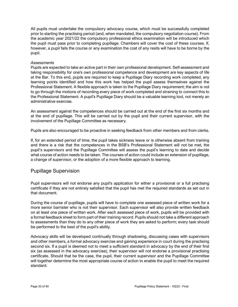All pupils must undertake the compulsory advocacy course, which must be successfully completed prior to starting the practising period (and, when mandated, the compulsory negotiation course). From the academic year 2021/22 the compulsory professional ethics examination will be introduced which the pupil must pass prior to completing pupillage. Chambers will cover the cost of these courses. If, however, a pupil fails the course or any examination the cost of any resits will have to be borne by the pupil.

#### **Assessments**

Pupils are expected to take an active part in their own professional development. Self-assessment and taking responsibility for one's own professional competence and development are key aspects of life at the Bar. To this end, pupils are required to keep a Pupillage Diary recording work completed, any learning points identified and how this work has helped the pupil assess themselves against the Professional Statement. A flexible approach is taken to the Pupillage Diary requirement; the aim is not to go through the motions of recording every piece of work completed and straining to connect this to the Professional Statement. A pupil's Pupillage Diary should be a valuable learning tool, not merely an administrative exercise.

An assessment against the competences should be carried out at the end of the first six months and at the end of pupillage. This will be carried out by the pupil and their current supervisor, with the involvement of the Pupillage Committee as necessary.

Pupils are also encouraged to be proactive in seeking feedback from other members and from clerks.

If, for an extended period of time, the pupil takes sickness leave or is otherwise absent from training and there is a risk that the competences in the BSB's Professional Statement will not be met, the pupil's supervisors and the Pupillage Committee will assess the pupil's learning to date and decide what course of action needs to be taken. The courses of action could include an extension of pupillage, a change of supervisor, or the adoption of a more flexible approach to learning.

## Pupillage Supervision

Pupil supervisors will not endorse any pupil's application for either a provisional or a full practising certificate if they are not entirely satisfied that the pupil has met the required standards as set out in that document.

During the course of pupillage, pupils will have to complete one assessed piece of written work for a more senior barrister who is not their supervisor. Each supervisor will also provide written feedback on at least one piece of written work. After each assessed piece of work, pupils will be provided with a formal feedback sheet to form part of their training record. Pupils should not take a different approach to assessments than they do to any other piece of work they are asked to perform; every task should be performed to the best of the pupil's ability.

Advocacy skills will be developed continually through shadowing, discussing cases with supervisors and other members, a formal advocacy exercise and gaining experience in court during the practising second six. If a pupil is deemed not to meet a sufficient standard in advocacy by the end of their first six (as assessed in the advocacy exercise), their supervisor will not endorse a provisional practising certificate. Should that be the case, the pupil, their current supervisor and the Pupillage Committee will together determine the most appropriate course of action to enable the pupil to meet the required standard.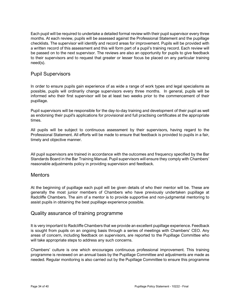Each pupil will be required to undertake a detailed formal review with their pupil supervisor every three months. At each review, pupils will be assessed against the Professional Statement and the pupillage checklists. The supervisor will identify and record areas for improvement. Pupils will be provided with a written record of this assessment and this will form part of a pupil's training record. Each review will be passed on to the next supervisor. The reviews are also an opportunity for pupils to give feedback to their supervisors and to request that greater or lesser focus be placed on any particular training need(s).

# Pupil Supervisors

In order to ensure pupils gain experience of as wide a range of work types and legal specialisms as possible, pupils will ordinarily change supervisors every three months. In general, pupils will be informed who their first supervisor will be at least two weeks prior to the commencement of their pupillage.

Pupil supervisors will be responsible for the day-to-day training and development of their pupil as well as endorsing their pupil's applications for provisional and full practising certificates at the appropriate times.

All pupils will be subject to continuous assessment by their supervisors, having regard to the Professional Statement. All efforts will be made to ensure that feedback is provided to pupils in a fair, timely and objective manner.

All pupil supervisors are trained in accordance with the outcomes and frequency specified by the Bar Standards Board in the Bar Training Manual. Pupil supervisors will ensure they comply with Chambers' reasonable adjustments policy in providing supervision and feedback.

#### **Mentors**

At the beginning of pupillage each pupil will be given details of who their mentor will be. These are generally the most junior members of Chambers who have previously undertaken pupillage at Radcliffe Chambers. The aim of a mentor is to provide supportive and non-judgmental mentoring to assist pupils in obtaining the best pupillage experience possible.

## Quality assurance of training programme

It is very important to Radcliffe Chambers that we provide an excellent pupillage experience. Feedback is sought from pupils on an ongoing basis through a series of meetings with Chambers' CEO. Any areas of concern, including feedback on supervisors, are reported to the Pupillage Committee who will take appropriate steps to address any such concerns.

Chambers' culture is one which encourages continuous professional improvement. This training programme is reviewed on an annual basis by the Pupillage Committee and adjustments are made as needed. Regular monitoring is also carried out by the Pupillage Committee to ensure this programme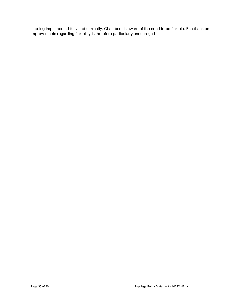is being implemented fully and correctly. Chambers is aware of the need to be flexible. Feedback on improvements regarding flexibility is therefore particularly encouraged.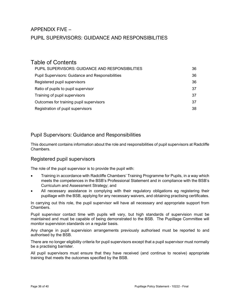# APPENDIX FIVE – PUPIL SUPERVISORS: GUIDANCE AND RESPONSIBILITIES

# Table of Contents

| PUPIL SUPERVISORS: GUIDANCE AND RESPONSIBILITIES        | 36 |
|---------------------------------------------------------|----|
| <b>Pupil Supervisors: Guidance and Responsibilities</b> | 36 |
| Registered pupil supervisors                            | 36 |
| Ratio of pupils to pupil supervisor                     | 37 |
| Training of pupil supervisors                           | 37 |
| Outcomes for training pupil supervisors                 | 37 |
| Registration of pupil supervisors                       | 38 |

# Pupil Supervisors: Guidance and Responsibilities

This document contains information about the role and responsibilities of pupil supervisors at Radcliffe Chambers.

# Registered pupil supervisors

The role of the pupil supervisor is to provide the pupil with:

- Training in accordance with Radcliffe Chambers' Training Programme for Pupils, in a way which meets the competences in the BSB's Professional Statement and in compliance with the BSB's Curriculum and Assessment Strategy; and
- All necessary assistance in complying with their regulatory obligations eg registering their pupillage with the BSB, applying for any necessary waivers, and obtaining practising certificates.

In carrying out this role, the pupil supervisor will have all necessary and appropriate support from Chambers.

Pupil supervisor contact time with pupils will vary, but high standards of supervision must be maintained and must be capable of being demonstrated to the BSB. The Pupillage Committee will monitor supervision standards on a regular basis.

Any change in pupil supervision arrangements previously authorised must be reported to and authorised by the BSB.

There are no longer eligibility criteria for pupil supervisors except that a pupil supervisor must normally be a practising barrister.

All pupil supervisors must ensure that they have received (and continue to receive) appropriate training that meets the outcomes specified by the BSB.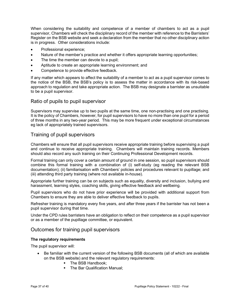When considering the suitability and competence of a member of chambers to act as a pupil supervisor, Chambers will check the disciplinary record of the member with reference to the Barristers' Register on the BSB website and seek a declaration from the member that no other disciplinary action is in progress. Other considerations include:

- Professional experience;
- Nature of the member's practice and whether it offers appropriate learning opportunities;
- The time the member can devote to a pupil;
- Aptitude to create an appropriate learning environment; and
- Competence to provide effective feedback.

If any matter which appears to affect the suitability of a member to act as a pupil supervisor comes to the notice of the BSB, the BSB's policy is to assess the matter in accordance with its risk-based approach to regulation and take appropriate action. The BSB may designate a barrister as unsuitable to be a pupil supervisor.

#### Ratio of pupils to pupil supervisor

Supervisors may supervise up to two pupils at the same time, one non-practising and one practising. It is the policy of Chambers, however, for pupil supervisors to have no more than one pupil for a period of three months in any two-year period. This may be more frequent under exceptional circumstances eg lack of appropriately trained supervisors.

## Training of pupil supervisors

Chambers will ensure that all pupil supervisors receive appropriate training before supervising a pupil and continue to receive appropriate training. Chambers will maintain training records. Members should also record any such training on their Continuing Professional Development records.

Formal training can only cover a certain amount of ground in one session, so pupil supervisors should combine this formal training with a combination of (i) self-study (eg reading the relevant BSB documentation); (ii) familiarisation with Chambers' policies and procedures relevant to pupillage; and (iii) attending third party training (where not available in-house).

Appropriate further training can be on subjects such as equality, diversity and inclusion, bullying and harassment, learning styles, coaching skills, giving effective feedback and wellbeing.

Pupil supervisors who do not have prior experience will be provided with additional support from Chambers to ensure they are able to deliver effective feedback to pupils.

Refresher training is mandatory every five years, and after three years if the barrister has not been a pupil supervisor during that time.

Under the CPD rules barristers have an obligation to reflect on their competence as a pupil supervisor or as a member of the pupillage committee, or equivalent.

## Outcomes for training pupil supervisors

#### The regulatory requirements

The pupil supervisor will:

- Be familiar with the current version of the following BSB documents (all of which are available on the BSB website) and the relevant regulatory requirements:
	- The BSB Handbook:
	- The Bar Qualification Manual: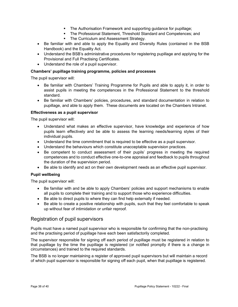- The Authorisation Framework and supporting guidance for pupillage;
- The Professional Statement, Threshold Standard and Competences; and
- The Curriculum and Assessment Strategy.
- Be familiar with and able to apply the Equality and Diversity Rules (contained in the BSB Handbook) and the Equality Act.
- Understand the BSB's administrative procedures for registering pupillage and applying for the Provisional and Full Practising Certificates.
- Understand the role of a pupil supervisor.

#### Chambers' pupillage training programme, policies and processes

The pupil supervisor will:

- Be familiar with Chambers' Training Programme for Pupils and able to apply it, in order to assist pupils in meeting the competences in the Professional Statement to the threshold standard.
- Be familiar with Chambers' policies, procedures, and standard documentation in relation to pupillage, and able to apply them. These documents are located on the Chambers Intranet.

#### Effectiveness as a pupil supervisor

The pupil supervisor will:

- Understand what makes an effective supervisor, have knowledge and experience of how pupils learn effectively and be able to assess the learning needs/learning styles of their individual pupils.
- Understand the time commitment that is required to be effective as a pupil supervisor.
- Understand the behaviours which constitute unacceptable supervision practices.
- Be competent to conduct assessment of their pupils' progress in meeting the required competences and to conduct effective one-to-one appraisal and feedback to pupils throughout the duration of the supervision period.
- Be able to identify and act on their own development needs as an effective pupil supervisor.

#### Pupil wellbeing

The pupil supervisor will:

- Be familiar with and be able to apply Chambers' policies and support mechanisms to enable all pupils to complete their training and to support those who experience difficulties.
- Be able to direct pupils to where they can find help externally if needed.
- Be able to create a positive relationship with pupils, such that they feel comfortable to speak up without fear of intimidation or unfair reproof.

## Registration of pupil supervisors

Pupils must have a named pupil supervisor who is responsible for confirming that the non-practising and the practising period of pupillage have each been satisfactorily completed.

The supervisor responsible for signing off each period of pupillage must be registered in relation to that pupillage by the time the pupillage is registered (or notified promptly if there is a change in circumstances) and trained to the required standards.

The BSB is no longer maintaining a register of approved pupil supervisors but will maintain a record of which pupil supervisor is responsible for signing off each pupil, when that pupillage is registered.